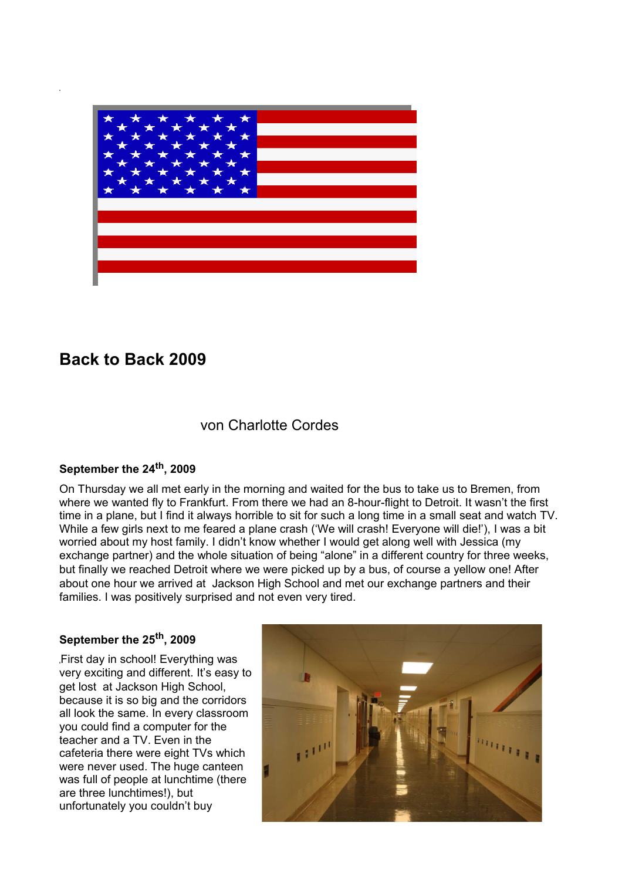

# **Back to Back 2009**

von Charlotte Cordes

# **September the 24th , 2009**

On Thursday we all met early in the morning and waited for the bus to take us to Bremen, from where we wanted fly to Frankfurt. From there we had an 8-hour-flight to Detroit. It wasn't the first time in a plane, but I find it always horrible to sit for such a long time in a small seat and watch TV. While a few girls next to me feared a plane crash ('We will crash! Everyone will die!'), I was a bit worried about my host family. I didn't know whether I would get along well with Jessica (my exchange partner) and the whole situation of being "alone" in a different country for three weeks, but finally we reached Detroit where we were picked up by a bus, of course a yellow one! After about one hour we arrived at Jackson High School and met our exchange partners and their families. I was positively surprised and not even very tired.

## **September the 25th , 2009**

First day in school! Everything was very exciting and different. It's easy to get lost at Jackson High School, because it is so big and the corridors all look the same. In every classroom you could find a computer for the teacher and a TV. Even in the cafeteria there were eight TVs which were never used. The huge canteen was full of people at lunchtime (there are three lunchtimes!), but unfortunately you couldn't buy

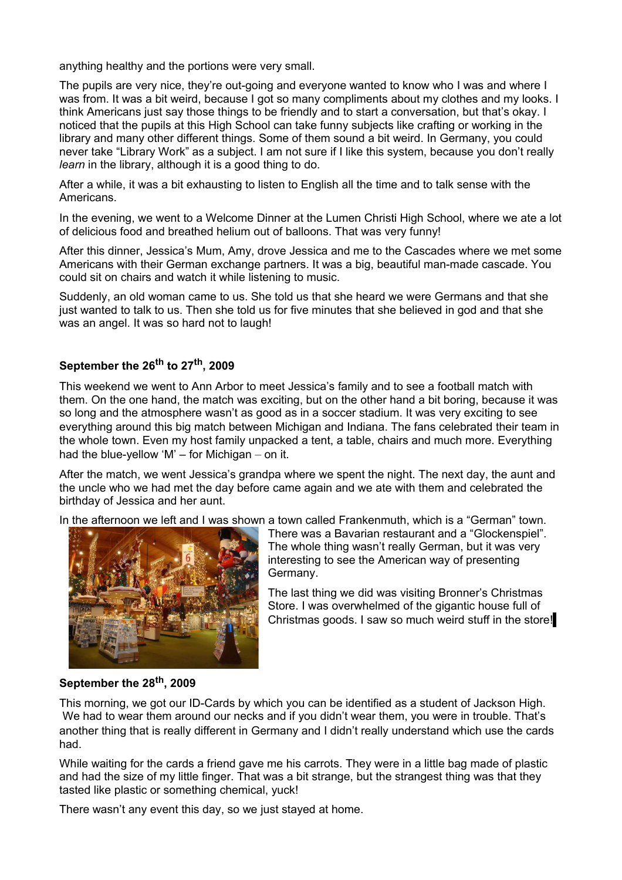anything healthy and the portions were very small.

The pupils are very nice, they're out-going and everyone wanted to know who I was and where I was from. It was a bit weird, because I got so many compliments about my clothes and my looks. I think Americans just say those things to be friendly and to start a conversation, but that's okay. I noticed that the pupils at this High School can take funny subjects like crafting or working in the library and many other different things. Some of them sound a bit weird. In Germany, you could never take "Library Work" as a subject. I am not sure if I like this system, because you don't really *learn* in the library, although it is a good thing to do.

After a while, it was a bit exhausting to listen to English all the time and to talk sense with the Americans.

In the evening, we went to a Welcome Dinner at the Lumen Christi High School, where we ate a lot of delicious food and breathed helium out of balloons. That was very funny!

After this dinner, Jessica's Mum, Amy, drove Jessica and me to the Cascades where we met some Americans with their German exchange partners. It was a big, beautiful man-made cascade. You could sit on chairs and watch it while listening to music.

Suddenly, an old woman came to us. She told us that she heard we were Germans and that she just wanted to talk to us. Then she told us for five minutes that she believed in god and that she was an angel. It was so hard not to laugh!

## **September the 26th to 27th , 2009**

This weekend we went to Ann Arbor to meet Jessica's family and to see a football match with them. On the one hand, the match was exciting, but on the other hand a bit boring, because it was so long and the atmosphere wasn't as good as in a soccer stadium. It was very exciting to see everything around this big match between Michigan and Indiana. The fans celebrated their team in the whole town. Even my host family unpacked a tent, a table, chairs and much more. Everything had the blue-yellow 'M' – for Michigan – on it.

After the match, we went Jessica's grandpa where we spent the night. The next day, the aunt and the uncle who we had met the day before came again and we ate with them and celebrated the birthday of Jessica and her aunt.

In the afternoon we left and I was shown a town called Frankenmuth, which is a "German" town.



There was a Bavarian restaurant and a "Glockenspiel". The whole thing wasn't really German, but it was very interesting to see the American way of presenting Germany.

The last thing we did was visiting Bronner's Christmas Store. I was overwhelmed of the gigantic house full of Christmas goods. I saw so much weird stuff in the store!

### **September the 28th , 2009**

This morning, we got our ID-Cards by which you can be identified as a student of Jackson High. We had to wear them around our necks and if you didn't wear them, you were in trouble. That's another thing that is really different in Germany and I didn't really understand which use the cards had.

While waiting for the cards a friend gave me his carrots. They were in a little bag made of plastic and had the size of my little finger. That was a bit strange, but the strangest thing was that they tasted like plastic or something chemical, yuck!

There wasn't any event this day, so we just stayed at home.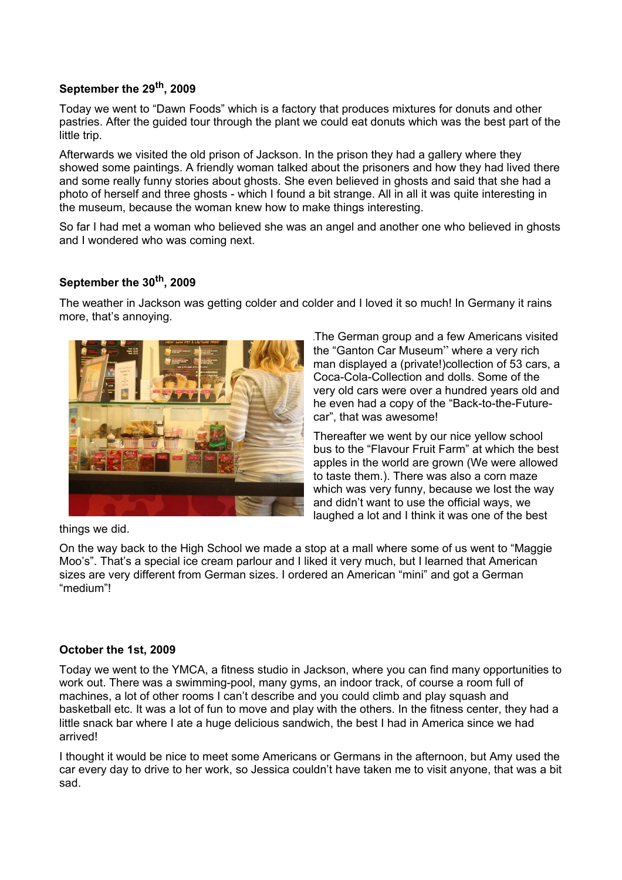#### **September the 29th , 2009**

Today we went to "Dawn Foods" which is a factory that produces mixtures for donuts and other pastries. After the guided tour through the plant we could eat donuts which was the best part of the little trip.

Afterwards we visited the old prison of Jackson. In the prison they had a gallery where they showed some paintings. A friendly woman talked about the prisoners and how they had lived there and some really funny stories about ghosts. She even believed in ghosts and said that she had a photo of herself and three ghosts - which I found a bit strange. All in all it was quite interesting in the museum, because the woman knew how to make things interesting.

So far I had met a woman who believed she was an angel and another one who believed in ghosts and I wondered who was coming next.

## **September the 30th , 2009**

The weather in Jackson was getting colder and colder and I loved it so much! In Germany it rains more, that's annoying.



The German group and a few Americans visited the "Ganton Car Museum" where a very rich man displayed a (private!)collection of 53 cars, a Coca-Cola-Collection and dolls. Some of the very old cars were over a hundred years old and he even had a copy of the "Back-to-the-Futurecar", that was awesome!

Thereafter we went by our nice yellow school bus to the "Flavour Fruit Farm" at which the best apples in the world are grown (We were allowed to taste them.). There was also a corn maze which was very funny, because we lost the way and didn't want to use the official ways, we laughed a lot and I think it was one of the best

things we did.

On the way back to the High School we made a stop at a mall where some of us went to "Maggie Moo's". That's a special ice cream parlour and I liked it very much, but I learned that American sizes are very different from German sizes. I ordered an American "mini" and got a German "medium"!

#### **October the 1st, 2009**

Today we went to the YMCA, a fitness studio in Jackson, where you can find many opportunities to work out. There was a swimming-pool, many gyms, an indoor track, of course a room full of machines, a lot of other rooms I can't describe and you could climb and play squash and basketball etc. It was a lot of fun to move and play with the others. In the fitness center, they had a little snack bar where I ate a huge delicious sandwich, the best I had in America since we had arrived!

I thought it would be nice to meet some Americans or Germans in the afternoon, but Amy used the car every day to drive to her work, so Jessica couldn't have taken me to visit anyone, that was a bit sad.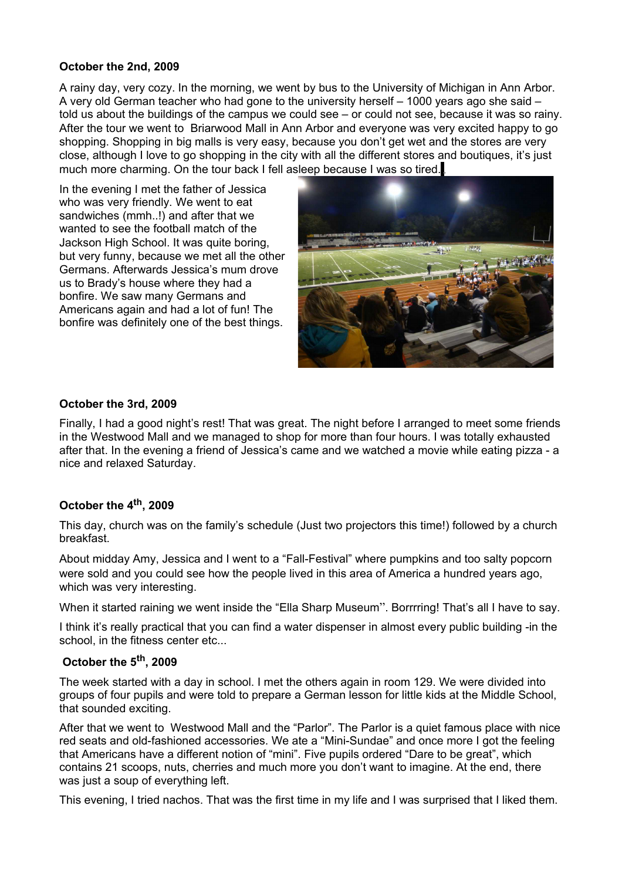#### **October the 2nd, 2009**

A rainy day, very cozy. In the morning, we went by bus to the University of Michigan in Ann Arbor. A very old German teacher who had gone to the university herself – 1000 years ago she said – told us about the buildings of the campus we could see – or could not see, because it was so rainy. After the tour we went to Briarwood Mall in Ann Arbor and everyone was very excited happy to go shopping. Shopping in big malls is very easy, because you don't get wet and the stores are very close, although I love to go shopping in the city with all the different stores and boutiques, it's just much more charming. On the tour back I fell asleep because I was so tired.

In the evening I met the father of Jessica who was very friendly. We went to eat sandwiches (mmh..!) and after that we wanted to see the football match of the Jackson High School. It was quite boring, but very funny, because we met all the other Germans. Afterwards Jessica's mum drove us to Brady's house where they had a bonfire. We saw many Germans and Americans again and had a lot of fun! The bonfire was definitely one of the best things.



## **October the 3rd, 2009**

Finally, I had a good night's rest! That was great. The night before I arranged to meet some friends in the Westwood Mall and we managed to shop for more than four hours. I was totally exhausted after that. In the evening a friend of Jessica's came and we watched a movie while eating pizza - a nice and relaxed Saturday.

## **October the 4 th , 2009**

This day, church was on the family's schedule (Just two projectors this time!) followed by a church breakfast.

About midday Amy, Jessica and I went to a "Fall-Festival" where pumpkins and too salty popcorn were sold and you could see how the people lived in this area of America a hundred years ago, which was very interesting.

When it started raining we went inside the "Ella Sharp Museum". Borrrring! That's all I have to say.

I think it's really practical that you can find a water dispenser in almost every public building -in the school, in the fitness center etc...

## **October the 5 th , 2009**

The week started with a day in school. I met the others again in room 129. We were divided into groups of four pupils and were told to prepare a German lesson for little kids at the Middle School, that sounded exciting.

After that we went to Westwood Mall and the "Parlor". The Parlor is a quiet famous place with nice red seats and old-fashioned accessories. We ate a "Mini-Sundae" and once more I got the feeling that Americans have a different notion of "mini". Five pupils ordered "Dare to be great", which contains 21 scoops, nuts, cherries and much more you don't want to imagine. At the end, there was just a soup of everything left.

This evening, I tried nachos. That was the first time in my life and I was surprised that I liked them.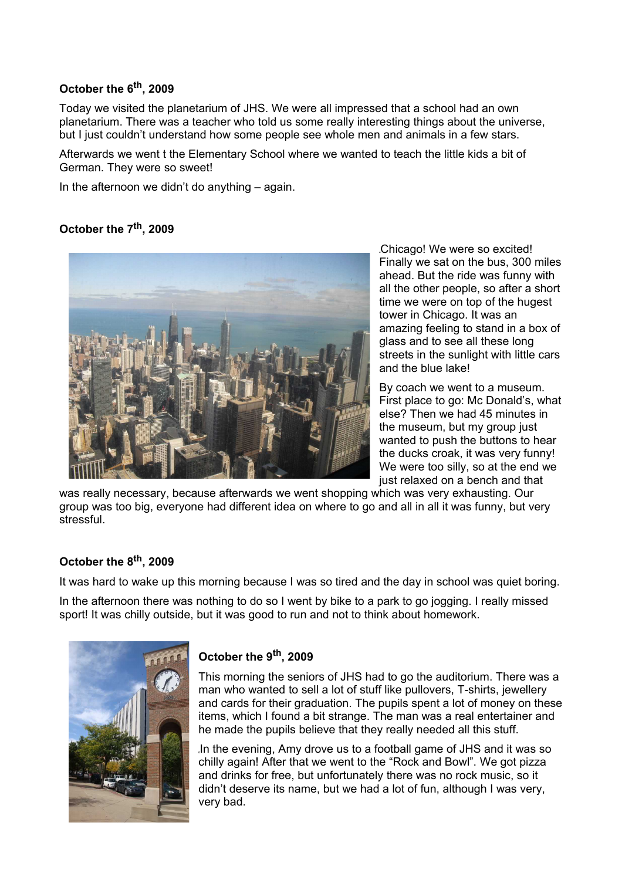## **October the 6 th , 2009**

Today we visited the planetarium of JHS. We were all impressed that a school had an own planetarium. There was a teacher who told us some really interesting things about the universe, but I just couldn't understand how some people see whole men and animals in a few stars.

Afterwards we went t the Elementary School where we wanted to teach the little kids a bit of German. They were so sweet!

In the afternoon we didn't do anything – again.

## **October the 7 th , 2009**



Chicago! We were so excited! Finally we sat on the bus, 300 miles ahead. But the ride was funny with all the other people, so after a short time we were on top of the hugest tower in Chicago. It was an amazing feeling to stand in a box of glass and to see all these long streets in the sunlight with little cars and the blue lake!

By coach we went to a museum. First place to go: Mc Donald's, what else? Then we had 45 minutes in the museum, but my group just wanted to push the buttons to hear the ducks croak, it was very funny! We were too silly, so at the end we just relaxed on a bench and that

was really necessary, because afterwards we went shopping which was very exhausting. Our group was too big, everyone had different idea on where to go and all in all it was funny, but very stressful.

## **October the 8 th , 2009**

It was hard to wake up this morning because I was so tired and the day in school was quiet boring.

In the afternoon there was nothing to do so I went by bike to a park to go jogging. I really missed sport! It was chilly outside, but it was good to run and not to think about homework.



## **October the 9 th , 2009**

This morning the seniors of JHS had to go the auditorium. There was a man who wanted to sell a lot of stuff like pullovers, T-shirts, jewellery and cards for their graduation. The pupils spent a lot of money on these items, which I found a bit strange. The man was a real entertainer and he made the pupils believe that they really needed all this stuff.

In the evening, Amy drove us to a football game of JHS and it was so chilly again! After that we went to the "Rock and Bowl". We got pizza and drinks for free, but unfortunately there was no rock music, so it didn't deserve its name, but we had a lot of fun, although I was very, very bad.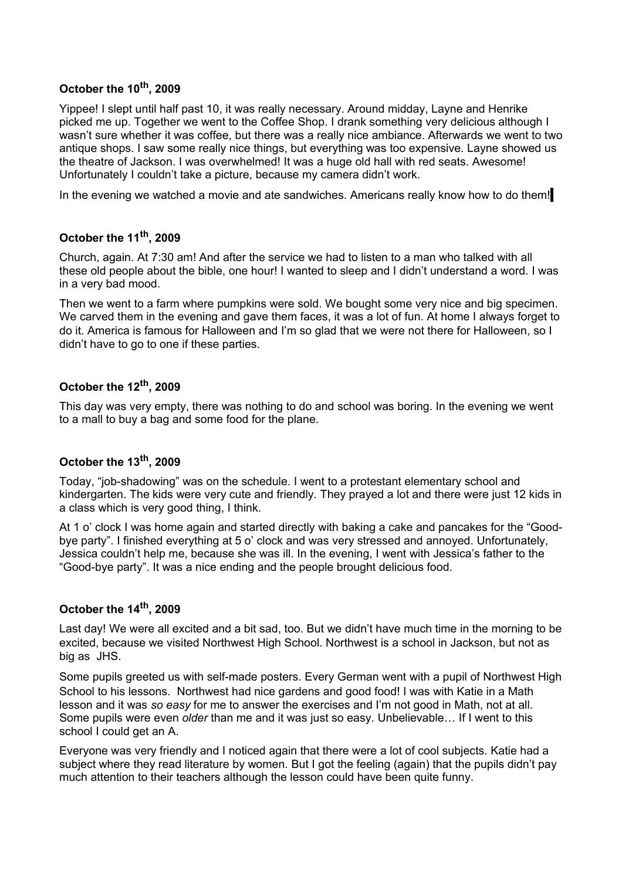## **October the 10th , 2009**

Yippee! I slept until half past 10, it was really necessary. Around midday, Layne and Henrike picked me up. Together we went to the Coffee Shop. I drank something very delicious although I wasn't sure whether it was coffee, but there was a really nice ambiance. Afterwards we went to two antique shops. I saw some really nice things, but everything was too expensive. Layne showed us the theatre of Jackson. I was overwhelmed! It was a huge old hall with red seats. Awesome! Unfortunately I couldn't take a picture, because my camera didn't work.

In the evening we watched a movie and ate sandwiches. Americans really know how to do them!

## **October the 11th , 2009**

Church, again. At 7:30 am! And after the service we had to listen to a man who talked with all these old people about the bible, one hour! I wanted to sleep and I didn't understand a word. I was in a very bad mood.

Then we went to a farm where pumpkins were sold. We bought some very nice and big specimen. We carved them in the evening and gave them faces, it was a lot of fun. At home I always forget to do it. America is famous for Halloween and I'm so glad that we were not there for Halloween, so I didn't have to go to one if these parties.

## **October the 12th , 2009**

This day was very empty, there was nothing to do and school was boring. In the evening we went to a mall to buy a bag and some food for the plane.

## **October the 13th , 2009**

Today, "job-shadowing" was on the schedule. I went to a protestant elementary school and kindergarten. The kids were very cute and friendly. They prayed a lot and there were just 12 kids in a class which is very good thing, I think.

At 1 o' clock I was home again and started directly with baking a cake and pancakes for the "Goodbye party". I finished everything at 5 o' clock and was very stressed and annoyed. Unfortunately, Jessica couldn't help me, because she was ill. In the evening, I went with Jessica's father to the "Good-bye party". It was a nice ending and the people brought delicious food.

## **October the 14th , 2009**

Last day! We were all excited and a bit sad, too. But we didn't have much time in the morning to be excited, because we visited Northwest High School. Northwest is a school in Jackson, but not as big as JHS.

Some pupils greeted us with self-made posters. Every German went with a pupil of Northwest High School to his lessons. Northwest had nice gardens and good food! I was with Katie in a Math lesson and it was *so easy* for me to answer the exercises and I'm not good in Math, not at all. Some pupils were even *older* than me and it was just so easy. Unbelievable… If I went to this school I could get an A.

Everyone was very friendly and I noticed again that there were a lot of cool subjects. Katie had a subject where they read literature by women. But I got the feeling (again) that the pupils didn't pay much attention to their teachers although the lesson could have been quite funny.